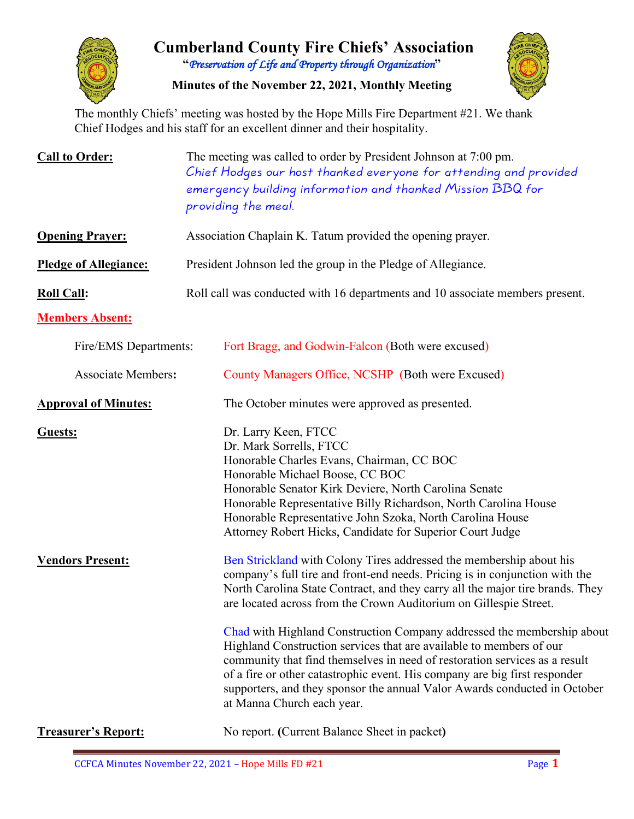

# **Cumberland County Fire Chiefs' Association "***Preservation of Life and Property through Organization***"**

**Minutes of the November 22, 2021, Monthly Meeting**



The monthly Chiefs' meeting was hosted by the Hope Mills Fire Department #21. We thank Chief Hodges and his staff for an excellent dinner and their hospitality.

| <b>Call to Order:</b>              | The meeting was called to order by President Johnson at 7:00 pm.<br>Chief Hodges our host thanked everyone for attending and provided<br>emergency building information and thanked Mission BBQ for<br>providing the meal.                                                                                                                                                                                                                                                                                                                                                                                                                                                                                                                                                                                                                                                                                                                                                                                                                                                                                                |  |  |  |  |  |  |  |  |  |  |
|------------------------------------|---------------------------------------------------------------------------------------------------------------------------------------------------------------------------------------------------------------------------------------------------------------------------------------------------------------------------------------------------------------------------------------------------------------------------------------------------------------------------------------------------------------------------------------------------------------------------------------------------------------------------------------------------------------------------------------------------------------------------------------------------------------------------------------------------------------------------------------------------------------------------------------------------------------------------------------------------------------------------------------------------------------------------------------------------------------------------------------------------------------------------|--|--|--|--|--|--|--|--|--|--|
| <b>Opening Prayer:</b>             | Association Chaplain K. Tatum provided the opening prayer.                                                                                                                                                                                                                                                                                                                                                                                                                                                                                                                                                                                                                                                                                                                                                                                                                                                                                                                                                                                                                                                                |  |  |  |  |  |  |  |  |  |  |
| <b>Pledge of Allegiance:</b>       | President Johnson led the group in the Pledge of Allegiance.                                                                                                                                                                                                                                                                                                                                                                                                                                                                                                                                                                                                                                                                                                                                                                                                                                                                                                                                                                                                                                                              |  |  |  |  |  |  |  |  |  |  |
| <b>Roll Call:</b>                  | Roll call was conducted with 16 departments and 10 associate members present.                                                                                                                                                                                                                                                                                                                                                                                                                                                                                                                                                                                                                                                                                                                                                                                                                                                                                                                                                                                                                                             |  |  |  |  |  |  |  |  |  |  |
| <b>Members Absent:</b>             |                                                                                                                                                                                                                                                                                                                                                                                                                                                                                                                                                                                                                                                                                                                                                                                                                                                                                                                                                                                                                                                                                                                           |  |  |  |  |  |  |  |  |  |  |
| Fire/EMS Departments:              | Fort Bragg, and Godwin-Falcon (Both were excused)                                                                                                                                                                                                                                                                                                                                                                                                                                                                                                                                                                                                                                                                                                                                                                                                                                                                                                                                                                                                                                                                         |  |  |  |  |  |  |  |  |  |  |
| <b>Associate Members:</b>          | County Managers Office, NCSHP (Both were Excused)                                                                                                                                                                                                                                                                                                                                                                                                                                                                                                                                                                                                                                                                                                                                                                                                                                                                                                                                                                                                                                                                         |  |  |  |  |  |  |  |  |  |  |
| <b>Approval of Minutes:</b>        | The October minutes were approved as presented.                                                                                                                                                                                                                                                                                                                                                                                                                                                                                                                                                                                                                                                                                                                                                                                                                                                                                                                                                                                                                                                                           |  |  |  |  |  |  |  |  |  |  |
| Guests:<br><b>Vendors Present:</b> | Dr. Larry Keen, FTCC<br>Dr. Mark Sorrells, FTCC<br>Honorable Charles Evans, Chairman, CC BOC<br>Honorable Michael Boose, CC BOC<br>Honorable Senator Kirk Deviere, North Carolina Senate<br>Honorable Representative Billy Richardson, North Carolina House<br>Honorable Representative John Szoka, North Carolina House<br>Attorney Robert Hicks, Candidate for Superior Court Judge<br>Ben Strickland with Colony Tires addressed the membership about his<br>company's full tire and front-end needs. Pricing is in conjunction with the<br>North Carolina State Contract, and they carry all the major tire brands. They<br>are located across from the Crown Auditorium on Gillespie Street.<br>Chad with Highland Construction Company addressed the membership about<br>Highland Construction services that are available to members of our<br>community that find themselves in need of restoration services as a result<br>of a fire or other catastrophic event. His company are big first responder<br>supporters, and they sponsor the annual Valor Awards conducted in October<br>at Manna Church each year. |  |  |  |  |  |  |  |  |  |  |
| <b>Treasurer's Report:</b>         | No report. (Current Balance Sheet in packet)                                                                                                                                                                                                                                                                                                                                                                                                                                                                                                                                                                                                                                                                                                                                                                                                                                                                                                                                                                                                                                                                              |  |  |  |  |  |  |  |  |  |  |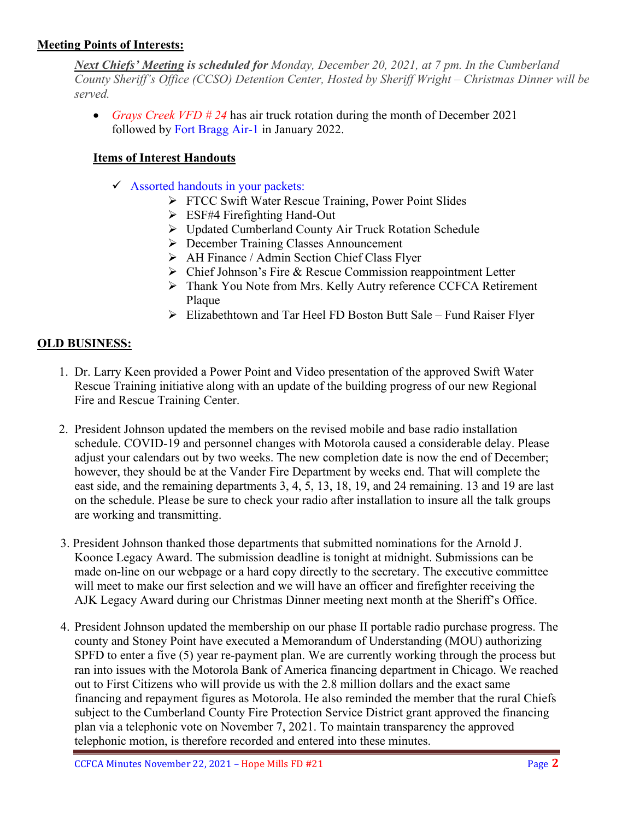### **Meeting Points of Interests:**

*Next Chiefs' Meeting is scheduled for Monday, December 20, 2021, at 7 pm. In the Cumberland County Sheriff's Office (CCSO) Detention Center, Hosted by Sheriff Wright* – *Christmas Dinner will be served.* 

• *Grays Creek VFD # 24* has air truck rotation during the month of December 2021 followed by Fort Bragg Air-1 in January 2022.

### **Items of Interest Handouts**

- $\checkmark$  Assorted handouts in your packets:
	- **FTCC Swift Water Rescue Training, Power Point Slides**
	- ESF#4 Firefighting Hand-Out
	- Updated Cumberland County Air Truck Rotation Schedule
	- December Training Classes Announcement
	- $\triangleright$  AH Finance / Admin Section Chief Class Flyer
	- $\triangleright$  Chief Johnson's Fire & Rescue Commission reappointment Letter
	- Thank You Note from Mrs. Kelly Autry reference CCFCA Retirement Plaque
	- $\triangleright$  Elizabethtown and Tar Heel FD Boston Butt Sale Fund Raiser Flyer

### **OLD BUSINESS:**

- 1. Dr. Larry Keen provided a Power Point and Video presentation of the approved Swift Water Rescue Training initiative along with an update of the building progress of our new Regional Fire and Rescue Training Center.
- 2. President Johnson updated the members on the revised mobile and base radio installation schedule. COVID-19 and personnel changes with Motorola caused a considerable delay. Please adjust your calendars out by two weeks. The new completion date is now the end of December; however, they should be at the Vander Fire Department by weeks end. That will complete the east side, and the remaining departments 3, 4, 5, 13, 18, 19, and 24 remaining. 13 and 19 are last on the schedule. Please be sure to check your radio after installation to insure all the talk groups are working and transmitting.
- 3. President Johnson thanked those departments that submitted nominations for the Arnold J. Koonce Legacy Award. The submission deadline is tonight at midnight. Submissions can be made on-line on our webpage or a hard copy directly to the secretary. The executive committee will meet to make our first selection and we will have an officer and firefighter receiving the AJK Legacy Award during our Christmas Dinner meeting next month at the Sheriff's Office.
- 4. President Johnson updated the membership on our phase II portable radio purchase progress. The county and Stoney Point have executed a Memorandum of Understanding (MOU) authorizing SPFD to enter a five (5) year re-payment plan. We are currently working through the process but ran into issues with the Motorola Bank of America financing department in Chicago. We reached out to First Citizens who will provide us with the 2.8 million dollars and the exact same financing and repayment figures as Motorola. He also reminded the member that the rural Chiefs subject to the Cumberland County Fire Protection Service District grant approved the financing plan via a telephonic vote on November 7, 2021. To maintain transparency the approved telephonic motion, is therefore recorded and entered into these minutes.

CCFCA Minutes November 22, 2021 – Hope Mills FD #21 Page 2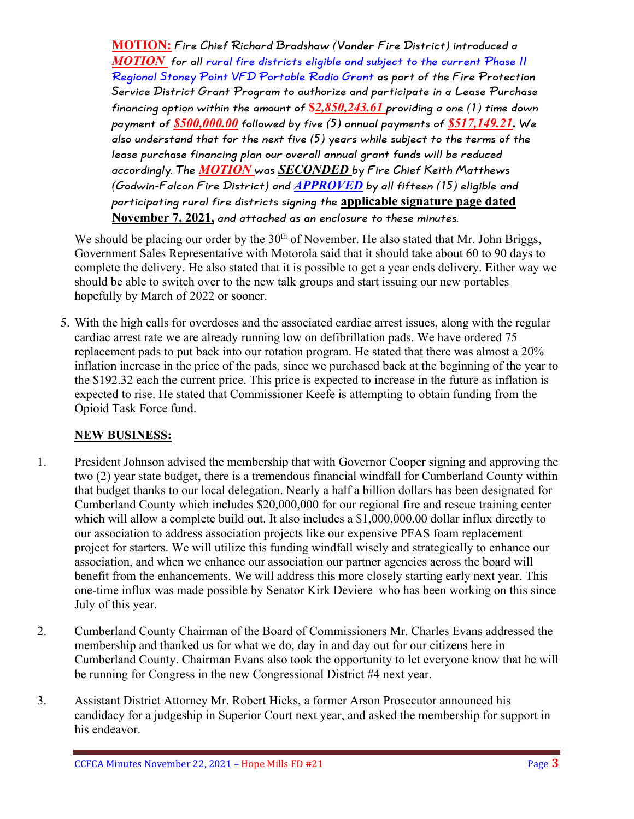**MOTION: Fire Chief Richard Bradshaw (Vander Fire District) introduced a**  *MOTION* **for all rural fire districts eligible and subject to the current Phase II Regional Stoney Point VFD Portable Radio Grant as part of the Fire Protection Service District Grant Program to authorize and participate in a Lease Purchase financing option within the amount of \$***2,850,243.61* **providing a one (1) time down payment of** *\$500,000.00* **followed by five (5) annual payments of** *\$517,149.21***. We also understand that for the next five (5) years while subject to the terms of the lease purchase financing plan our overall annual grant funds will be reduced accordingly. The** *MOTION* **was** *SECONDED* **by Fire Chief Keith Matthews (Godwin-Falcon Fire District) and** *APPROVED* **by all fifteen (15) eligible and participating rural fire districts signing the applicable signature page dated November 7, 2021, and attached as an enclosure to these minutes.** 

We should be placing our order by the  $30<sup>th</sup>$  of November. He also stated that Mr. John Briggs, Government Sales Representative with Motorola said that it should take about 60 to 90 days to complete the delivery. He also stated that it is possible to get a year ends delivery. Either way we should be able to switch over to the new talk groups and start issuing our new portables hopefully by March of 2022 or sooner.

5. With the high calls for overdoses and the associated cardiac arrest issues, along with the regular cardiac arrest rate we are already running low on defibrillation pads. We have ordered 75 replacement pads to put back into our rotation program. He stated that there was almost a 20% inflation increase in the price of the pads, since we purchased back at the beginning of the year to the \$192.32 each the current price. This price is expected to increase in the future as inflation is expected to rise. He stated that Commissioner Keefe is attempting to obtain funding from the Opioid Task Force fund.

### **NEW BUSINESS:**

- 1. President Johnson advised the membership that with Governor Cooper signing and approving the two (2) year state budget, there is a tremendous financial windfall for Cumberland County within that budget thanks to our local delegation. Nearly a half a billion dollars has been designated for Cumberland County which includes \$20,000,000 for our regional fire and rescue training center which will allow a complete build out. It also includes a \$1,000,000.00 dollar influx directly to our association to address association projects like our expensive PFAS foam replacement project for starters. We will utilize this funding windfall wisely and strategically to enhance our association, and when we enhance our association our partner agencies across the board will benefit from the enhancements. We will address this more closely starting early next year. This one-time influx was made possible by Senator Kirk Deviere who has been working on this since July of this year.
- 2. Cumberland County Chairman of the Board of Commissioners Mr. Charles Evans addressed the membership and thanked us for what we do, day in and day out for our citizens here in Cumberland County. Chairman Evans also took the opportunity to let everyone know that he will be running for Congress in the new Congressional District #4 next year.
- 3. Assistant District Attorney Mr. Robert Hicks, a former Arson Prosecutor announced his candidacy for a judgeship in Superior Court next year, and asked the membership for support in his endeavor.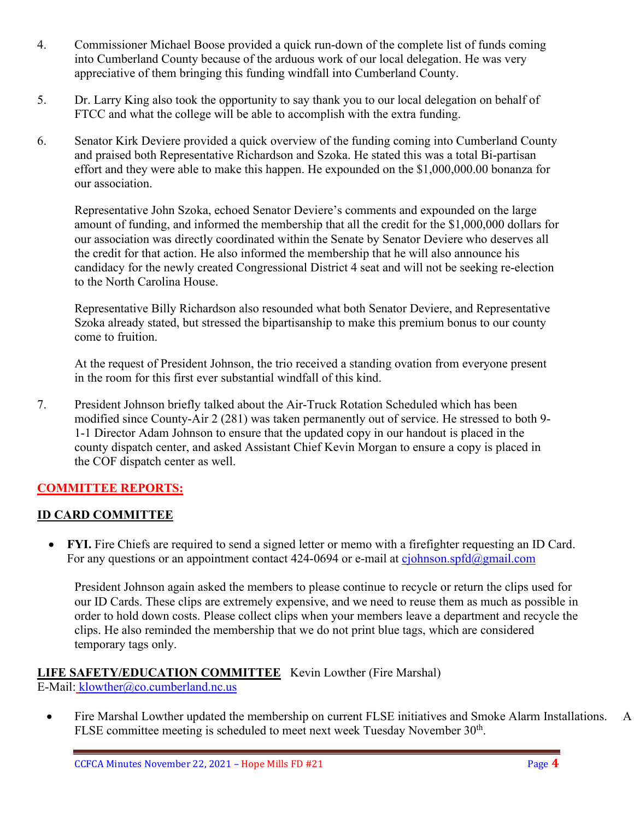- 4. Commissioner Michael Boose provided a quick run-down of the complete list of funds coming into Cumberland County because of the arduous work of our local delegation. He was very appreciative of them bringing this funding windfall into Cumberland County.
- 5. Dr. Larry King also took the opportunity to say thank you to our local delegation on behalf of FTCC and what the college will be able to accomplish with the extra funding.
- 6. Senator Kirk Deviere provided a quick overview of the funding coming into Cumberland County and praised both Representative Richardson and Szoka. He stated this was a total Bi-partisan effort and they were able to make this happen. He expounded on the \$1,000,000.00 bonanza for our association.

Representative John Szoka, echoed Senator Deviere's comments and expounded on the large amount of funding, and informed the membership that all the credit for the \$1,000,000 dollars for our association was directly coordinated within the Senate by Senator Deviere who deserves all the credit for that action. He also informed the membership that he will also announce his candidacy for the newly created Congressional District 4 seat and will not be seeking re-election to the North Carolina House.

Representative Billy Richardson also resounded what both Senator Deviere, and Representative Szoka already stated, but stressed the bipartisanship to make this premium bonus to our county come to fruition.

At the request of President Johnson, the trio received a standing ovation from everyone present in the room for this first ever substantial windfall of this kind.

7. President Johnson briefly talked about the Air-Truck Rotation Scheduled which has been modified since County-Air 2 (281) was taken permanently out of service. He stressed to both 9- 1-1 Director Adam Johnson to ensure that the updated copy in our handout is placed in the county dispatch center, and asked Assistant Chief Kevin Morgan to ensure a copy is placed in the COF dispatch center as well.

### **COMMITTEE REPORTS:**

### **ID CARD COMMITTEE**

• **FYI.** Fire Chiefs are required to send a signed letter or memo with a firefighter requesting an ID Card. For any questions or an appointment contact 424-0694 or e-mail at [cjohnson.spfd@gmail.com](mailto:cjohnson.spfd@gmail.com)

President Johnson again asked the members to please continue to recycle or return the clips used for our ID Cards. These clips are extremely expensive, and we need to reuse them as much as possible in order to hold down costs. Please collect clips when your members leave a department and recycle the clips. He also reminded the membership that we do not print blue tags, which are considered temporary tags only.

### **LIFE SAFETY/EDUCATION COMMITTEE** Kevin Lowther (Fire Marshal) E-Mail: [klowther@co.cumberland.nc.us](mailto:klowther@co.cumberland.nc.us)

• Fire Marshal Lowther updated the membership on current FLSE initiatives and Smoke Alarm Installations. A FLSE committee meeting is scheduled to meet next week Tuesday November 30<sup>th</sup>.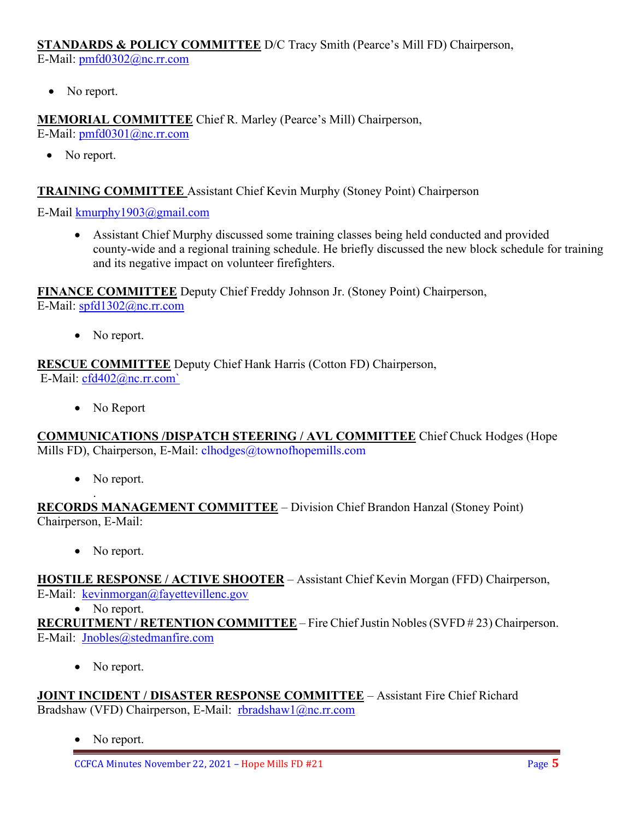**STANDARDS & POLICY COMMITTEE** D/C Tracy Smith (Pearce's Mill FD) Chairperson, E-Mail: [pmfd0302@nc.rr.com](mailto:pmfd0302@nc.rr.com)

• No report.

**MEMORIAL COMMITTEE** Chief R. Marley (Pearce's Mill) Chairperson, E-Mail: [pmfd0301@nc.rr.com](mailto:pmfd0301@nc.rr.com)

• No report.

### **TRAINING COMMITTEE** Assistant Chief Kevin Murphy (Stoney Point) Chairperson

E-Mail [kmurphy1903@gmail.com](mailto:kmurphy1903@gmail.com)

• Assistant Chief Murphy discussed some training classes being held conducted and provided county-wide and a regional training schedule. He briefly discussed the new block schedule for training and its negative impact on volunteer firefighters.

**FINANCE COMMITTEE** Deputy Chief Freddy Johnson Jr. (Stoney Point) Chairperson, E-Mail: [spfd1302@nc.rr.com](mailto:spfd1302@nc.rr.com)

• No report.

**RESCUE COMMITTEE** Deputy Chief Hank Harris (Cotton FD) Chairperson, E-Mail: [cfd402@nc.rr.com`](mailto:cfd402@nc.rr.com)

• No Report

**COMMUNICATIONS /DISPATCH STEERING / AVL COMMITTEE** Chief Chuck Hodges (Hope Mills FD), Chairperson, E-Mail: clhodges@townofhopemills.com

• No report.

. **RECORDS MANAGEMENT COMMITTEE** – Division Chief Brandon Hanzal (Stoney Point) Chairperson, E-Mail:

• No report.

**HOSTILE RESPONSE / ACTIVE SHOOTER** – Assistant Chief Kevin Morgan (FFD) Chairperson, E-Mail: [kevinmorgan@fayettevillenc.gov](mailto:kevinmorgan@fayettevillenc.gov)

• No report.

**RECRUITMENT / RETENTION COMMITTEE** – Fire Chief Justin Nobles (SVFD # 23) Chairperson. E-Mail: [Jnobles@stedmanfire.com](mailto:Jnobles@stedmanfire.com)

• No report.

**JOINT INCIDENT / DISASTER RESPONSE COMMITTEE** – Assistant Fire Chief Richard Bradshaw (VFD) Chairperson, E-Mail: [rbradshaw1@nc.rr.com](mailto:rbradshaw1@nc.rr.com)

• No report.

CCFCA Minutes November 22, 2021 – Hope Mills FD #21 Page **5**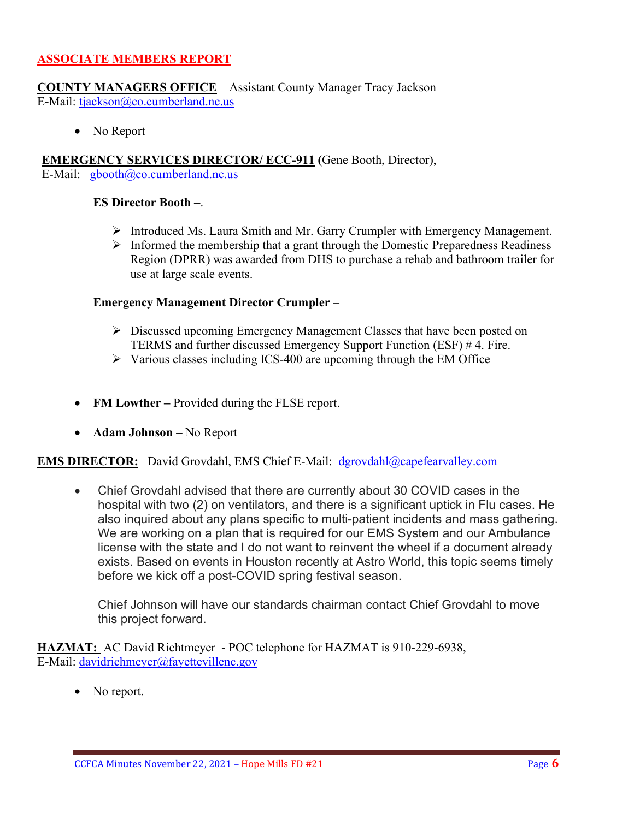### **ASSOCIATE MEMBERS REPORT**

**COUNTY MANAGERS OFFICE** – Assistant County Manager Tracy Jackson E-Mail: [tjackson@co.cumberland.nc.us](mailto:tjackson@co.cumberland.nc.us)

• No Report

**EMERGENCY SERVICES DIRECTOR/ ECC-911 (**Gene Booth, Director), E-Mail:  $\text{gbooth}(\partial \text{co.cumberland}.\text{nc.us})$ 

#### **ES Director Booth –**.

- Introduced Ms. Laura Smith and Mr. Garry Crumpler with Emergency Management.
- $\triangleright$  Informed the membership that a grant through the Domestic Preparedness Readiness Region (DPRR) was awarded from DHS to purchase a rehab and bathroom trailer for use at large scale events.

#### **Emergency Management Director Crumpler** –

- $\triangleright$  Discussed upcoming Emergency Management Classes that have been posted on TERMS and further discussed Emergency Support Function (ESF) # 4. Fire.
- $\triangleright$  Various classes including ICS-400 are upcoming through the EM Office
- **FM Lowther** Provided during the FLSE report.
- **Adam Johnson –** No Report

**EMS DIRECTOR:** David Grovdahl, EMS Chief E-Mail: [dgrovdahl@capefearvalley.com](mailto:dgrovdahl@capefearvalley.com)

• Chief Grovdahl advised that there are currently about 30 COVID cases in the hospital with two (2) on ventilators, and there is a significant uptick in Flu cases. He also inquired about any plans specific to multi-patient incidents and mass gathering. We are working on a plan that is required for our EMS System and our Ambulance license with the state and I do not want to reinvent the wheel if a document already exists. Based on events in Houston recently at Astro World, this topic seems timely before we kick off a post-COVID spring festival season.

Chief Johnson will have our standards chairman contact Chief Grovdahl to move this project forward.

**HAZMAT:** AC David Richtmeyer - POC telephone for HAZMAT is 910-229-6938, E-Mail: [davidrichmeyer@fayettevillenc.gov](mailto:davidrichmeyer@fayettevillenc.gov)

• No report.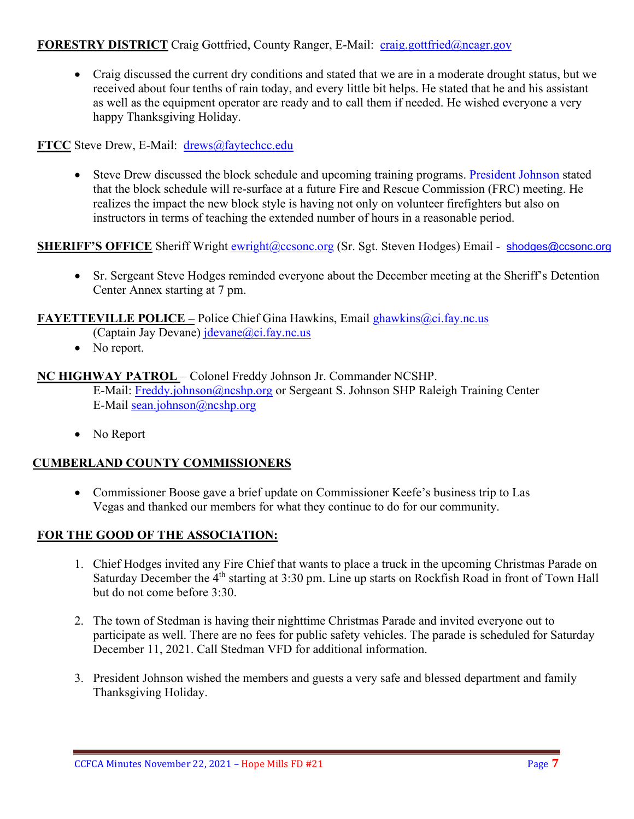### **FORESTRY DISTRICT** Craig Gottfried, County Ranger, E-Mail: [craig.gottfried@ncagr.gov](mailto:craig.gottfried@ncagr.gov)

• Craig discussed the current dry conditions and stated that we are in a moderate drought status, but we received about four tenths of rain today, and every little bit helps. He stated that he and his assistant as well as the equipment operator are ready and to call them if needed. He wished everyone a very happy Thanksgiving Holiday.

**FTCC** Steve Drew, E-Mail: [drews@faytechcc.edu](mailto:drews@faytechcc.edu)

• Steve Drew discussed the block schedule and upcoming training programs. President Johnson stated that the block schedule will re-surface at a future Fire and Rescue Commission (FRC) meeting. He realizes the impact the new block style is having not only on volunteer firefighters but also on instructors in terms of teaching the extended number of hours in a reasonable period.

### **SHERIFF'S OFFICE** Sheriff Wright [ewright@ccsonc.org](mailto:ewright@ccsonc.org) (Sr. Sgt. Steven Hodges) Email - [shodges@ccsonc.org](mailto:shodges@ccsonc.org)

• Sr. Sergeant Steve Hodges reminded everyone about the December meeting at the Sheriff's Detention Center Annex starting at 7 pm.

### **FAYETTEVILLE POLICE –** Police Chief Gina Hawkins, Email ghawkins @ci.fay.nc.us

(Captain Jay Devane)  $idevane@ci.fay.nc.us$ 

• No report.

### **NC HIGHWAY PATROL** – Colonel Freddy Johnson Jr. Commander NCSHP.

E-Mail: [Freddy.johnson@ncshp.org](mailto:Freddy.johnson@ncshp.org) or Sergeant S. Johnson SHP Raleigh Training Center E-Mail [sean.johnson@ncshp.org](mailto:sean.johnson@ncshp.org)

• No Report

### **CUMBERLAND COUNTY COMMISSIONERS**

• Commissioner Boose gave a brief update on Commissioner Keefe's business trip to Las Vegas and thanked our members for what they continue to do for our community.

### **FOR THE GOOD OF THE ASSOCIATION:**

- 1. Chief Hodges invited any Fire Chief that wants to place a truck in the upcoming Christmas Parade on Saturday December the  $4<sup>th</sup>$  starting at 3:30 pm. Line up starts on Rockfish Road in front of Town Hall but do not come before 3:30.
- 2. The town of Stedman is having their nighttime Christmas Parade and invited everyone out to participate as well. There are no fees for public safety vehicles. The parade is scheduled for Saturday December 11, 2021. Call Stedman VFD for additional information.
- 3. President Johnson wished the members and guests a very safe and blessed department and family Thanksgiving Holiday.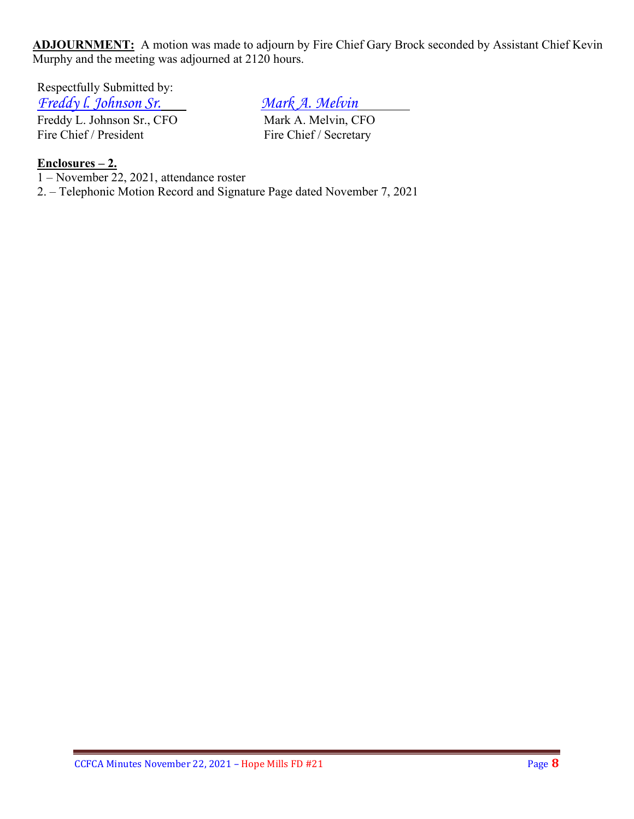**ADJOURNMENT:** A motion was made to adjourn by Fire Chief Gary Brock seconded by Assistant Chief Kevin Murphy and the meeting was adjourned at 2120 hours.

Respectfully Submitted by:

*Freddy I. Johnson Sr.*<br> *Freddy L. Johnson Sr., CFO Mark A. Melvin, CFO* Freddy L. Johnson Sr., CFO<br>
Fire Chief / President<br>
Fire Chief / Secretary Fire Chief / President

### **Enclosures – 2.**

1 – November 22, 2021, attendance roster

2. – Telephonic Motion Record and Signature Page dated November 7, 2021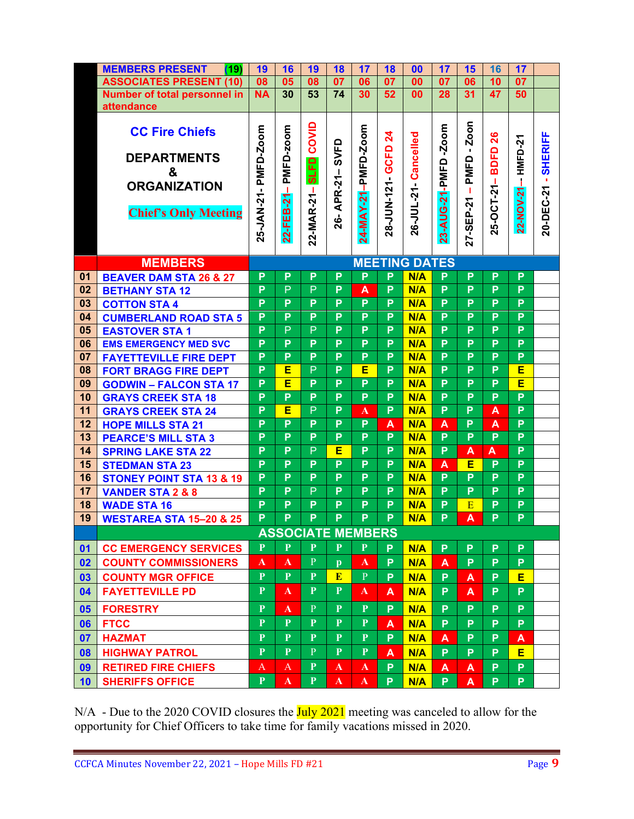|          | <b>MEMBERS PRESENT</b><br>(19)      | 19                   | 16           | 19             | 18              | 17                       | 18              | 00                   | 17             | 15             | 16          | 17             |                     |
|----------|-------------------------------------|----------------------|--------------|----------------|-----------------|--------------------------|-----------------|----------------------|----------------|----------------|-------------|----------------|---------------------|
|          | <b>ASSOCIATES PRESENT (10)</b>      | 08                   | 05           | 08             | $\overline{07}$ | 06                       | $\overline{07}$ | 00                   | 07             | 06             | 10          | 07             |                     |
|          | Number of total personnel in        | <b>NA</b>            | 30           | 53             | 74              | 30                       | 52              | 00                   | 28             | 31             | 47          | 50             |                     |
|          | attendance                          |                      |              |                |                 |                          |                 |                      |                |                |             |                |                     |
|          | <b>CC Fire Chiefs</b>               |                      |              |                |                 |                          |                 |                      |                |                |             |                |                     |
|          |                                     | 25-JAN-21- PMFD-Zoom | PMFD-zoom    | COVID          |                 | 24-MAY-21-PMFD-Zoom      | $\mathbf{z}_4$  | 26-JUL-21- Cancelled | $-2$ oom       | Zoon           | 26          |                | 20-DEC-21 - SHERIFF |
|          | <b>DEPARTMENTS</b>                  |                      |              |                | SVFD            |                          |                 |                      |                | $\blacksquare$ |             |                |                     |
|          | &                                   |                      |              | <b>SLFD</b>    |                 |                          | 28-JUN-121-GCFD |                      | 23-AUG-21-PMFD | PMFD           | <b>BDFD</b> | <b>HMFD-21</b> |                     |
|          | <b>ORGANIZATION</b>                 |                      |              |                |                 |                          |                 |                      |                |                |             |                |                     |
|          |                                     |                      | 22-FEB-21-   | 22-MAR-21-     | 26-APR-21-      |                          |                 |                      |                | 27-SEP-21-     | 25-OCT-21-  | 22-NOV-21-     |                     |
|          | <b>Chief's Only Meeting</b>         |                      |              |                |                 |                          |                 |                      |                |                |             |                |                     |
|          |                                     |                      |              |                |                 |                          |                 |                      |                |                |             |                |                     |
|          |                                     |                      |              |                |                 |                          |                 |                      |                |                |             |                |                     |
|          |                                     |                      |              |                |                 |                          |                 |                      |                |                |             |                |                     |
|          | <b>MEMBERS</b>                      |                      |              |                |                 |                          |                 | <b>MEETING DATES</b> |                |                |             |                |                     |
| 01       | <b>BEAVER DAM STA 26 &amp; 27</b>   | P                    | P            | P              | P               | P                        | P               | N/A                  | P              | P              | P           | P              |                     |
| 02       | <b>BETHANY STA 12</b>               | P                    | P            | P              | P               | A                        | $\overline{P}$  | N/A                  | $\overline{P}$ | $\overline{P}$ | P           | $\overline{P}$ |                     |
| 03       | <b>COTTON STA 4</b>                 | P                    | P            | P              | P               | P                        | P               | N/A                  | P              | P              | P           | P              |                     |
| 04       | <b>CUMBERLAND ROAD STA 5</b>        | P                    | P            | P              | P               | P                        | P               | N/A                  | P              | P              | P           | P              |                     |
| 05       | <b>EASTOVER STA1</b>                | P                    | P            | P              | P               | P                        | P               | N/A                  | $\overline{P}$ | P              | P           | $\overline{P}$ |                     |
| 06       | <b>EMS EMERGENCY MED SVC</b>        | P                    | P            | P              | P               | P                        | P               | N/A                  | P              | P              | P           | P              |                     |
| 07       | <b>FAYETTEVILLE FIRE DEPT</b>       | P                    | P            | P              | P               | P                        | P               | N/A                  | P              | P              | P           | P              |                     |
| 08       | <b>FORT BRAGG FIRE DEPT</b>         | P                    | E            | $\overline{P}$ | P               | E                        | P               | N/A                  | $\overline{P}$ | P              | P           | E              |                     |
| 09       | <b>GODWIN - FALCON STA 17</b>       | P                    | E            | P              | P               | P                        | P               | N/A                  | P              | P              | P           | E              |                     |
| 10       | <b>GRAYS CREEK STA 18</b>           | P                    | P            | P              | P               | P                        | P               | N/A                  | P              | P              | P           | $\overline{P}$ |                     |
| 11       | <b>GRAYS CREEK STA 24</b>           | P                    | E            | P              | P               | A                        | P               | N/A                  | P              | P              | A           | $\overline{P}$ |                     |
| 12       | <b>HOPE MILLS STA 21</b>            | P                    | P            | P              | P               | P                        | A               | N/A                  | A              | P              | A           | P              |                     |
| 13       | <b>PEARCE'S MILL STA 3</b>          | P                    | P            | P              | P               | P                        | P               | N/A                  | P              | P              | P           | P              |                     |
| 14       | <b>SPRING LAKE STA 22</b>           | P                    | P            | P              | E               | $\overline{P}$           | P               | N/A                  | $\overline{P}$ | A              | A           | $\overline{P}$ |                     |
| 15       | <b>STEDMAN STA 23</b>               | P                    | P<br>P       | P<br>P         | P<br>P          | P<br>P                   | P               | N/A                  | A<br>P         | Е<br>P         | P<br>P      | P<br>P         |                     |
| 16<br>17 | <b>STONEY POINT STA 13 &amp; 19</b> | P<br>P               | P            | P              | P               | P                        | P<br>P          | N/A<br>N/A           | P              | P              | P           | $\overline{P}$ |                     |
| 18       | <b>VANDER STA 2 &amp; 8</b>         | P                    | P            | P              | P               | P                        | P               | N/A                  | P              | E              | P           | P              |                     |
| 19       | <b>WADE STA 16</b>                  | P                    | P            | P              | P               | P                        | P               | N/A                  | P              | A              | P           | P              |                     |
|          | <b>WESTAREA STA 15-20 &amp; 25</b>  |                      |              |                |                 |                          |                 |                      |                |                |             |                |                     |
|          |                                     |                      |              |                |                 | <b>ASSOCIATE MEMBERS</b> |                 |                      |                |                |             |                |                     |
| 01       | <b>CC EMERGENCY SERVICES</b>        | $\mathbf{P}$         | $\mathbf{P}$ | P              | $\mathbf{P}$    | $\mathbf{P}$             | P.              | N/A                  | P              | P              | P           | P              |                     |
| 02       | <b>COUNTY COMMISSIONERS</b>         | ${\bf A}$            | $\mathbf{A}$ | $\mathbf{P}$   | $\mathbf{p}$    | $\mathbf{A}$             | P               | N/A                  | A              | P              | P           | P              |                     |
| 03       | <b>COUNTY MGR OFFICE</b>            | $\mathbf{P}$         | $\mathbf{P}$ | $\mathbf{P}$   | E               | $\mathbf{P}$             | P               | N/A                  | P.             | A              | P           | E              |                     |
| 04       | <b>FAYETTEVILLE PD</b>              | $\mathbf{P}$         | $\mathbf{A}$ | P              | $\mathbf{P}$    | $\mathbf{A}$             | A               | N/A                  | P              | A              | P           | P              |                     |
| 05       | <b>FORESTRY</b>                     | $\mathbf{P}$         | $\mathbf{A}$ | $\mathbf{P}$   | $\mathbf{P}$    | P                        | P               | N/A                  | P              | P              | P           | P              |                     |
| 06       | <b>FTCC</b>                         | $\mathbf{P}$         | $\mathbf{P}$ | $\mathbf{P}$   | $\mathbf{P}$    | $\mathbf{P}$             | A               | N/A                  | P              | P              | P           | P              |                     |
| 07       | <b>HAZMAT</b>                       | $\mathbf{P}$         | $\mathbf{P}$ | $\mathbf{P}$   | $\mathbf{P}$    | ${\bf P}$                | P               | N/A                  | A              | P              | P           | A              |                     |
| 08       | <b>HIGHWAY PATROL</b>               | $\mathbf{P}$         | $\mathbf{P}$ | $\mathbf{P}$   | ${\bf P}$       | $\mathbf{P}$             | A               | N/A                  | P.             | P              | P           | E              |                     |
| 09       | <b>RETIRED FIRE CHIEFS</b>          | $\mathbf{A}$         | A            | $\mathbf{P}$   | $\mathbf{A}$    | $\mathbf{A}$             | P               | N/A                  | A              | A              | P           | P              |                     |
| 10       | <b>SHERIFFS OFFICE</b>              | P                    | $\mathbf{A}$ | P              | $\mathbf{A}$    | $\mathbf{A}$             | P               | N/A                  | P.             | A              | P           | P.             |                     |

N/A - Due to the 2020 COVID closures the July 2021 meeting was canceled to allow for the opportunity for Chief Officers to take time for family vacations missed in 2020.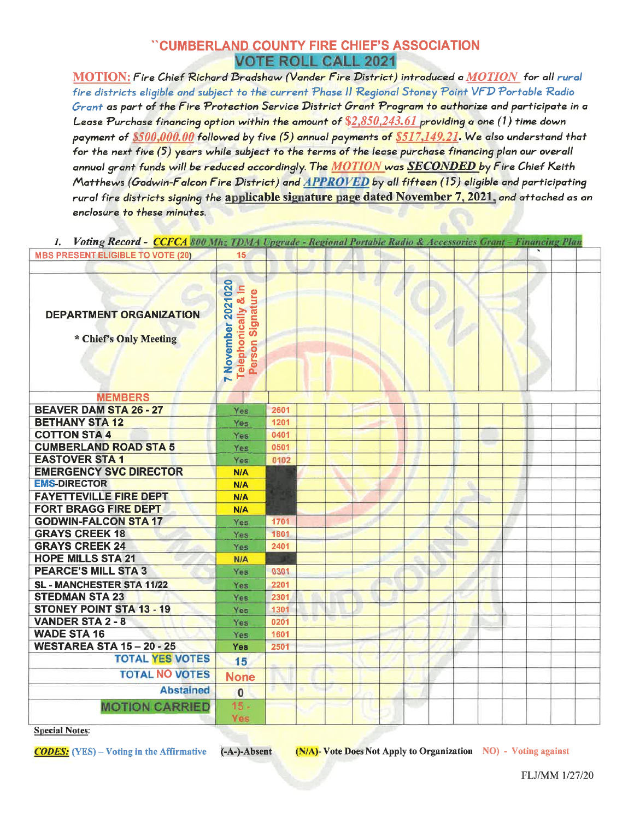## "CUMBERLAND COUNTY FIRE CHIEF'S ASSOCIATION **VOTE ROLL CALL 2021**

MOTION: Fire Chief Richard Bradshaw (Vander Fire District) introduced a MOTION for all rural fire districts eligible and subject to the current Phase II Regional Stoney Point VFD Portable Radio Grant as part of the Fire Protection Service District Grant Program to authorize and participate in a Lease Purchase financing option within the amount of \$2,850,243.61 providing a one (1) time down payment of \$500,000.00 followed by five (5) annual payments of \$517,149.21. We also understand that for the next five (5) years while subject to the terms of the lease purchase financing plan our overall annual grant funds will be reduced accordingly. The MOTION was SECONDED by Fire Chief Keith Matthews (Godwin-Falcon Fire District) and APPROVED by all fifteen (15) eligible and participating rural fire districts signing the applicable signature page dated November 7, 2021, and attached as an enclosure to these minutes.

| 1. Voting Record - CCFCA 800 Mhz TDMA Upgrade - Regional Portable Rudio & Accessories Grant - Financing Plan |                                                                              |      |  |   |  |  |  |  |  |
|--------------------------------------------------------------------------------------------------------------|------------------------------------------------------------------------------|------|--|---|--|--|--|--|--|
| <b>MBS PRESENT ELIGIBLE TO VOTE (20)</b>                                                                     | 15                                                                           |      |  |   |  |  |  |  |  |
|                                                                                                              |                                                                              |      |  |   |  |  |  |  |  |
| <b>DEPARTMENT ORGANIZATION</b><br>* Chief's Only Meeting                                                     | 7 November 2021020<br>$\frac{1}{8}$<br>Signature<br>Telephonically<br>Person |      |  | υ |  |  |  |  |  |
| <b>MEMBERS</b>                                                                                               |                                                                              |      |  |   |  |  |  |  |  |
| <b>BEAVER DAM STA 26 - 27</b>                                                                                | <b>Yes</b>                                                                   | 2601 |  |   |  |  |  |  |  |
| <b>BETHANY STA 12</b>                                                                                        | Yes                                                                          | 1201 |  |   |  |  |  |  |  |
| <b>COTTON STA 4</b>                                                                                          | Yes                                                                          | 0401 |  |   |  |  |  |  |  |
| <b>CUMBERLAND ROAD STA 5</b>                                                                                 | Yes                                                                          | 0501 |  |   |  |  |  |  |  |
| <b>EASTOVER STA 1</b>                                                                                        | Yes                                                                          | 0102 |  |   |  |  |  |  |  |
| <b>EMERGENCY SVC DIRECTOR</b>                                                                                | <b>N/A</b>                                                                   |      |  |   |  |  |  |  |  |
| <b>EMS-DIRECTOR</b>                                                                                          | <b>N/A</b>                                                                   |      |  |   |  |  |  |  |  |
| <b>FAYETTEVILLE FIRE DEPT</b>                                                                                | N/A                                                                          |      |  |   |  |  |  |  |  |
| <b>FORT BRAGG FIRE DEPT</b>                                                                                  | N/A                                                                          |      |  |   |  |  |  |  |  |
| <b>GODWIN-FALCON STA 17</b>                                                                                  | <b>Yes</b>                                                                   | 1701 |  |   |  |  |  |  |  |
| <b>GRAYS CREEK 18</b>                                                                                        | Yes                                                                          | 1801 |  |   |  |  |  |  |  |
| <b>GRAYS CREEK 24</b>                                                                                        | Yes                                                                          | 2401 |  |   |  |  |  |  |  |
| <b>HOPE MILLS STA 21</b>                                                                                     | N/A                                                                          |      |  |   |  |  |  |  |  |
| <b>PEARCE'S MILL STA 3</b>                                                                                   | Yes                                                                          | 0301 |  |   |  |  |  |  |  |
| SL - MANCHESTER STA 11/22                                                                                    | Yes                                                                          | 2201 |  |   |  |  |  |  |  |
| <b>STEDMAN STA 23</b>                                                                                        | Yes                                                                          | 2301 |  |   |  |  |  |  |  |
| <b>STONEY POINT STA 13 - 19</b>                                                                              | Yes                                                                          | 1301 |  |   |  |  |  |  |  |
| <b>VANDER STA 2 - 8</b>                                                                                      | Yes                                                                          | 0201 |  |   |  |  |  |  |  |
| <b>WADE STA 16</b>                                                                                           | Yes                                                                          | 1601 |  |   |  |  |  |  |  |
| <b>WESTAREA STA 15 - 20 - 25</b>                                                                             | <b>Yes</b>                                                                   | 2501 |  |   |  |  |  |  |  |
| <b>TOTAL YES VOTES</b>                                                                                       | 15                                                                           |      |  |   |  |  |  |  |  |
| <b>TOTAL NO VOTES</b>                                                                                        | <b>None</b>                                                                  |      |  |   |  |  |  |  |  |
| <b>Abstained</b>                                                                                             | $\bf{0}$                                                                     |      |  |   |  |  |  |  |  |
| <b>MOTION CARRIED</b>                                                                                        | $15 -$<br>Yes                                                                |      |  |   |  |  |  |  |  |

**Special Notes:** 

**CODES:** (YES) – Voting in the Affirmative (-A-)-Absent (N/A)- Vote Does Not Apply to Organization NO) - Voting against